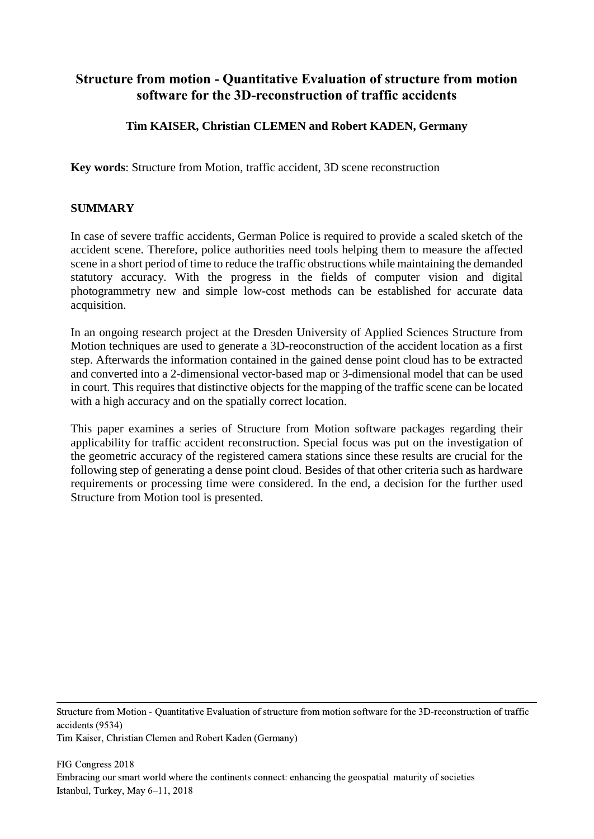# **Structure from motion - Quantitative Evaluation of structure from motion software for the 3D-reconstruction of traffic accidents**

## **Tim KAISER, Christian CLEMEN and Robert KADEN, Germany**

**Key words**: Structure from Motion, traffic accident, 3D scene reconstruction

#### **SUMMARY**

In case of severe traffic accidents, German Police is required to provide a scaled sketch of the accident scene. Therefore, police authorities need tools helping them to measure the affected scene in a short period of time to reduce the traffic obstructions while maintaining the demanded statutory accuracy. With the progress in the fields of computer vision and digital photogrammetry new and simple low-cost methods can be established for accurate data acquisition.

In an ongoing research project at the Dresden University of Applied Sciences Structure from Motion techniques are used to generate a 3D-reoconstruction of the accident location as a first step. Afterwards the information contained in the gained dense point cloud has to be extracted and converted into a 2-dimensional vector-based map or 3-dimensional model that can be used in court. This requires that distinctive objects for the mapping of the traffic scene can be located with a high accuracy and on the spatially correct location.

This paper examines a series of Structure from Motion software packages regarding their applicability for traffic accident reconstruction. Special focus was put on the investigation of the geometric accuracy of the registered camera stations since these results are crucial for the following step of generating a dense point cloud. Besides of that other criteria such as hardware requirements or processing time were considered. In the end, a decision for the further used Structure from Motion tool is presented.

Structure from Motion - Quantitative Evaluation of structure from motion software for the 3D-reconstruction of traffic accidents (9534)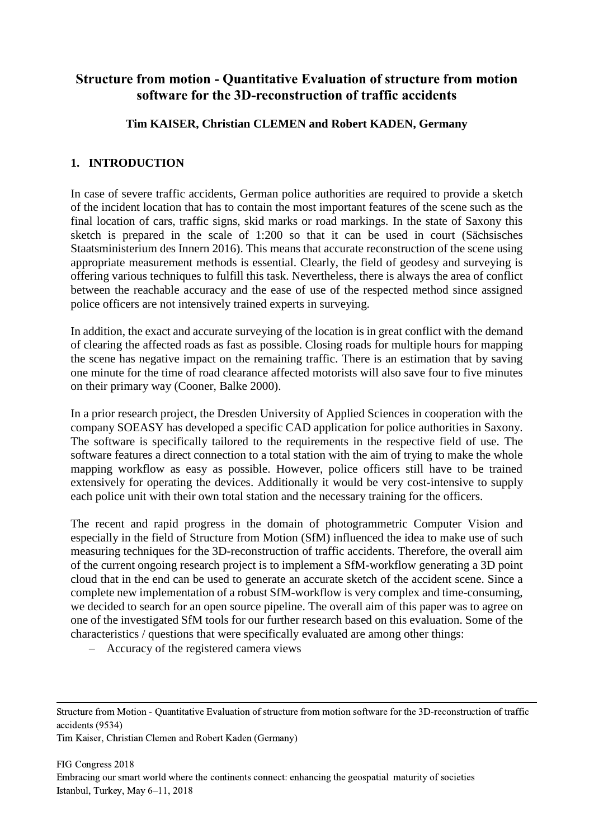# **Structure from motion - Quantitative Evaluation of structure from motion software for the 3D-reconstruction of traffic accidents**

### **Tim KAISER, Christian CLEMEN and Robert KADEN, Germany**

### **1. INTRODUCTION**

In case of severe traffic accidents, German police authorities are required to provide a sketch of the incident location that has to contain the most important features of the scene such as the final location of cars, traffic signs, skid marks or road markings. In the state of Saxony this sketch is prepared in the scale of 1:200 so that it can be used in court (Sächsisches Staatsministerium des Innern 2016). This means that accurate reconstruction of the scene using appropriate measurement methods is essential. Clearly, the field of geodesy and surveying is offering various techniques to fulfill this task. Nevertheless, there is always the area of conflict between the reachable accuracy and the ease of use of the respected method since assigned police officers are not intensively trained experts in surveying.

In addition, the exact and accurate surveying of the location is in great conflict with the demand of clearing the affected roads as fast as possible. Closing roads for multiple hours for mapping the scene has negative impact on the remaining traffic. There is an estimation that by saving one minute for the time of road clearance affected motorists will also save four to five minutes on their primary way (Cooner, Balke 2000).

In a prior research project, the Dresden University of Applied Sciences in cooperation with the company SOEASY has developed a specific CAD application for police authorities in Saxony. The software is specifically tailored to the requirements in the respective field of use. The software features a direct connection to a total station with the aim of trying to make the whole mapping workflow as easy as possible. However, police officers still have to be trained extensively for operating the devices. Additionally it would be very cost-intensive to supply each police unit with their own total station and the necessary training for the officers.

The recent and rapid progress in the domain of photogrammetric Computer Vision and especially in the field of Structure from Motion (SfM) influenced the idea to make use of such measuring techniques for the 3D-reconstruction of traffic accidents. Therefore, the overall aim of the current ongoing research project is to implement a SfM-workflow generating a 3D point cloud that in the end can be used to generate an accurate sketch of the accident scene. Since a complete new implementation of a robust SfM-workflow is very complex and time-consuming, we decided to search for an open source pipeline. The overall aim of this paper was to agree on one of the investigated SfM tools for our further research based on this evaluation. Some of the characteristics / questions that were specifically evaluated are among other things:

Accuracy of the registered camera views

Structure from Motion - Quantitative Evaluation of structure from motion software for the 3D-reconstruction of traffic accidents (9534)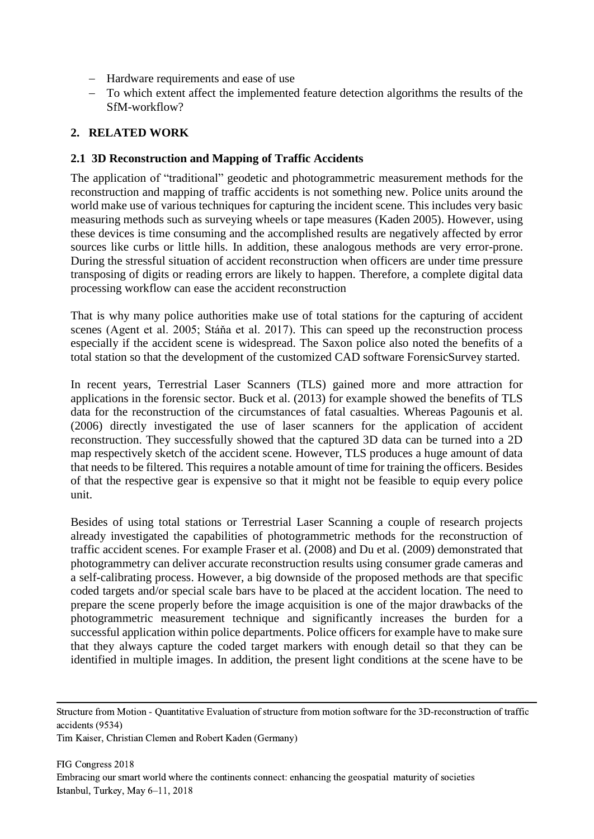- Hardware requirements and ease of use
- To which extent affect the implemented feature detection algorithms the results of the SfM-workflow?

### **2. RELATED WORK**

#### **2.1 3D Reconstruction and Mapping of Traffic Accidents**

The application of "traditional" geodetic and photogrammetric measurement methods for the reconstruction and mapping of traffic accidents is not something new. Police units around the world make use of various techniques for capturing the incident scene. This includes very basic measuring methods such as surveying wheels or tape measures (Kaden 2005). However, using these devices is time consuming and the accomplished results are negatively affected by error sources like curbs or little hills. In addition, these analogous methods are very error-prone. During the stressful situation of accident reconstruction when officers are under time pressure transposing of digits or reading errors are likely to happen. Therefore, a complete digital data processing workflow can ease the accident reconstruction

That is why many police authorities make use of total stations for the capturing of accident scenes (Agent et al. 2005; Stáňa et al. 2017). This can speed up the reconstruction process especially if the accident scene is widespread. The Saxon police also noted the benefits of a total station so that the development of the customized CAD software ForensicSurvey started.

In recent years, Terrestrial Laser Scanners (TLS) gained more and more attraction for applications in the forensic sector. Buck et al. (2013) for example showed the benefits of TLS data for the reconstruction of the circumstances of fatal casualties. Whereas Pagounis et al. (2006) directly investigated the use of laser scanners for the application of accident reconstruction. They successfully showed that the captured 3D data can be turned into a 2D map respectively sketch of the accident scene. However, TLS produces a huge amount of data that needs to be filtered. This requires a notable amount of time for training the officers. Besides of that the respective gear is expensive so that it might not be feasible to equip every police unit.

Besides of using total stations or Terrestrial Laser Scanning a couple of research projects already investigated the capabilities of photogrammetric methods for the reconstruction of traffic accident scenes. For example Fraser et al. (2008) and Du et al. (2009) demonstrated that photogrammetry can deliver accurate reconstruction results using consumer grade cameras and a self-calibrating process. However, a big downside of the proposed methods are that specific coded targets and/or special scale bars have to be placed at the accident location. The need to prepare the scene properly before the image acquisition is one of the major drawbacks of the photogrammetric measurement technique and significantly increases the burden for a successful application within police departments. Police officers for example have to make sure that they always capture the coded target markers with enough detail so that they can be identified in multiple images. In addition, the present light conditions at the scene have to be

Structure from Motion - Quantitative Evaluation of structure from motion software for the 3D-reconstruction of traffic accidents (9534)

Tim Kaiser, Christian Clemen and Robert Kaden (Germany)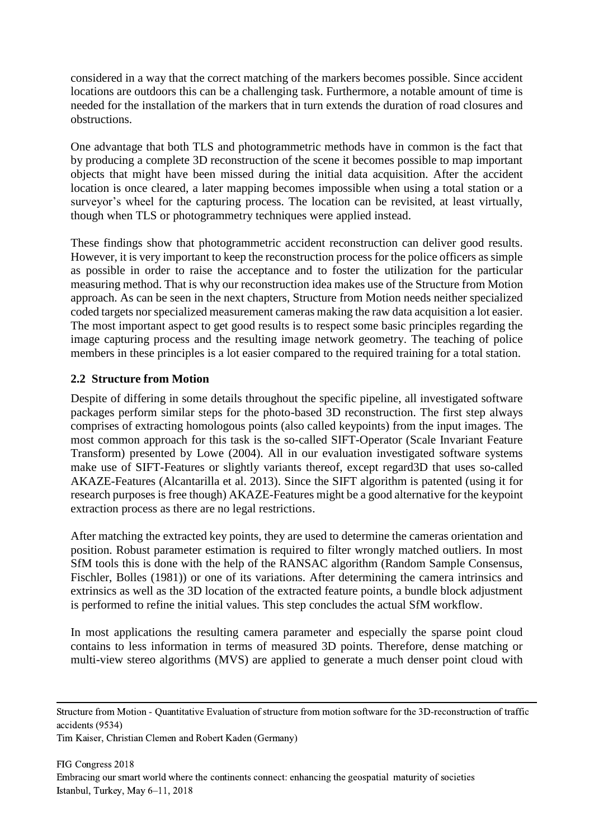considered in a way that the correct matching of the markers becomes possible. Since accident locations are outdoors this can be a challenging task. Furthermore, a notable amount of time is needed for the installation of the markers that in turn extends the duration of road closures and obstructions.

One advantage that both TLS and photogrammetric methods have in common is the fact that by producing a complete 3D reconstruction of the scene it becomes possible to map important objects that might have been missed during the initial data acquisition. After the accident location is once cleared, a later mapping becomes impossible when using a total station or a surveyor's wheel for the capturing process. The location can be revisited, at least virtually, though when TLS or photogrammetry techniques were applied instead.

These findings show that photogrammetric accident reconstruction can deliver good results. However, it is very important to keep the reconstruction process for the police officers as simple as possible in order to raise the acceptance and to foster the utilization for the particular measuring method. That is why our reconstruction idea makes use of the Structure from Motion approach. As can be seen in the next chapters, Structure from Motion needs neither specialized coded targets nor specialized measurement cameras making the raw data acquisition a lot easier. The most important aspect to get good results is to respect some basic principles regarding the image capturing process and the resulting image network geometry. The teaching of police members in these principles is a lot easier compared to the required training for a total station.

## **2.2 Structure from Motion**

Despite of differing in some details throughout the specific pipeline, all investigated software packages perform similar steps for the photo-based 3D reconstruction. The first step always comprises of extracting homologous points (also called keypoints) from the input images. The most common approach for this task is the so-called SIFT-Operator (Scale Invariant Feature Transform) presented by Lowe (2004). All in our evaluation investigated software systems make use of SIFT-Features or slightly variants thereof, except regard3D that uses so-called AKAZE-Features (Alcantarilla et al. 2013). Since the SIFT algorithm is patented (using it for research purposes is free though) AKAZE-Features might be a good alternative for the keypoint extraction process as there are no legal restrictions.

After matching the extracted key points, they are used to determine the cameras orientation and position. Robust parameter estimation is required to filter wrongly matched outliers. In most SfM tools this is done with the help of the RANSAC algorithm (Random Sample Consensus, Fischler, Bolles (1981)) or one of its variations. After determining the camera intrinsics and extrinsics as well as the 3D location of the extracted feature points, a bundle block adjustment is performed to refine the initial values. This step concludes the actual SfM workflow.

In most applications the resulting camera parameter and especially the sparse point cloud contains to less information in terms of measured 3D points. Therefore, dense matching or multi-view stereo algorithms (MVS) are applied to generate a much denser point cloud with

Structure from Motion - Quantitative Evaluation of structure from motion software for the 3D-reconstruction of traffic accidents (9534)

Tim Kaiser, Christian Clemen and Robert Kaden (Germany)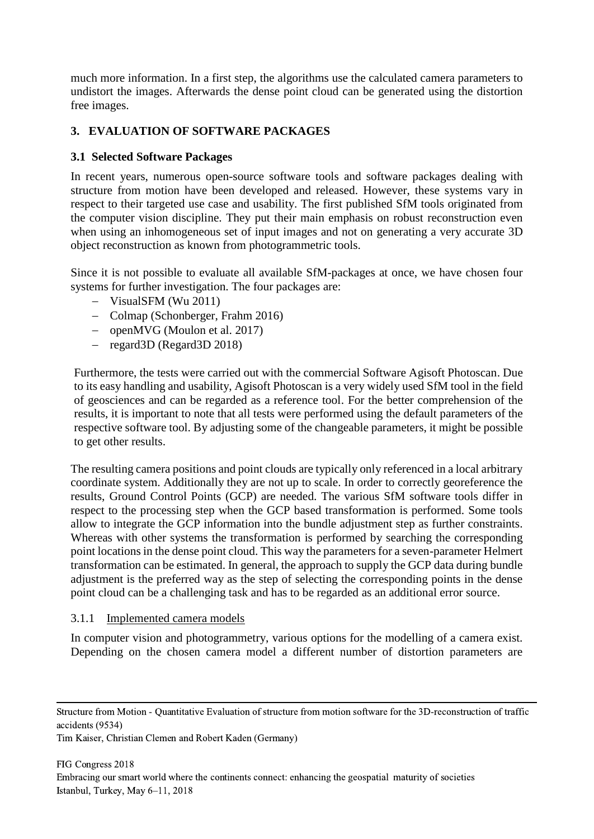much more information. In a first step, the algorithms use the calculated camera parameters to undistort the images. Afterwards the dense point cloud can be generated using the distortion free images.

## **3. EVALUATION OF SOFTWARE PACKAGES**

## **3.1 Selected Software Packages**

In recent years, numerous open-source software tools and software packages dealing with structure from motion have been developed and released. However, these systems vary in respect to their targeted use case and usability. The first published SfM tools originated from the computer vision discipline. They put their main emphasis on robust reconstruction even when using an inhomogeneous set of input images and not on generating a very accurate 3D object reconstruction as known from photogrammetric tools.

Since it is not possible to evaluate all available SfM-packages at once, we have chosen four systems for further investigation. The four packages are:

- VisualSFM (Wu 2011)
- Colmap (Schonberger, Frahm 2016)
- openMVG (Moulon et al. 2017)
- $-$  regard 3D (Regard 3D 2018)

Furthermore, the tests were carried out with the commercial Software Agisoft Photoscan. Due to its easy handling and usability, Agisoft Photoscan is a very widely used SfM tool in the field of geosciences and can be regarded as a reference tool. For the better comprehension of the results, it is important to note that all tests were performed using the default parameters of the respective software tool. By adjusting some of the changeable parameters, it might be possible to get other results.

The resulting camera positions and point clouds are typically only referenced in a local arbitrary coordinate system. Additionally they are not up to scale. In order to correctly georeference the results, Ground Control Points (GCP) are needed. The various SfM software tools differ in respect to the processing step when the GCP based transformation is performed. Some tools allow to integrate the GCP information into the bundle adjustment step as further constraints. Whereas with other systems the transformation is performed by searching the corresponding point locations in the dense point cloud. This way the parameters for a seven-parameter Helmert transformation can be estimated. In general, the approach to supply the GCP data during bundle adjustment is the preferred way as the step of selecting the corresponding points in the dense point cloud can be a challenging task and has to be regarded as an additional error source.

### 3.1.1 Implemented camera models

In computer vision and photogrammetry, various options for the modelling of a camera exist. Depending on the chosen camera model a different number of distortion parameters are

Structure from Motion - Quantitative Evaluation of structure from motion software for the 3D-reconstruction of traffic accidents (9534)

Tim Kaiser, Christian Clemen and Robert Kaden (Germany)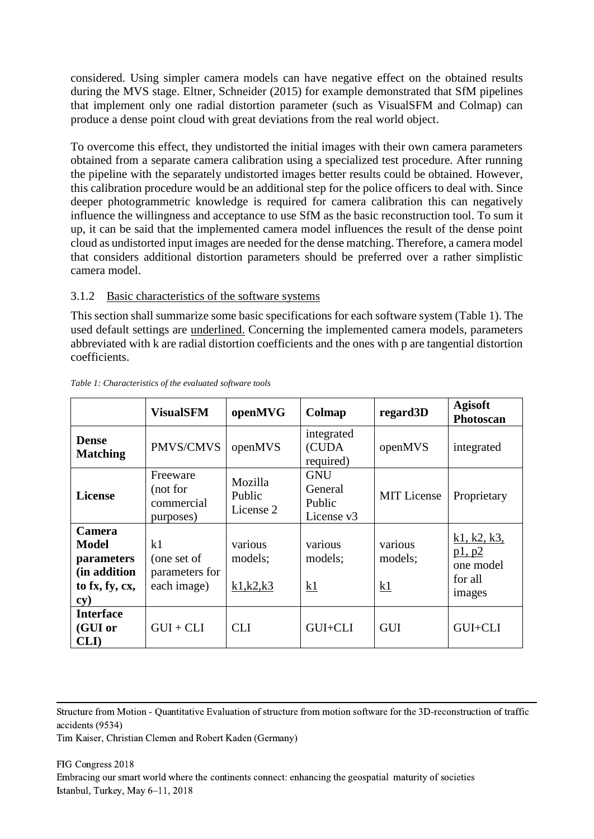considered. Using simpler camera models can have negative effect on the obtained results during the MVS stage. Eltner, Schneider (2015) for example demonstrated that SfM pipelines that implement only one radial distortion parameter (such as VisualSFM and Colmap) can produce a dense point cloud with great deviations from the real world object.

To overcome this effect, they undistorted the initial images with their own camera parameters obtained from a separate camera calibration using a specialized test procedure. After running the pipeline with the separately undistorted images better results could be obtained. However, this calibration procedure would be an additional step for the police officers to deal with. Since deeper photogrammetric knowledge is required for camera calibration this can negatively influence the willingness and acceptance to use SfM as the basic reconstruction tool. To sum it up, it can be said that the implemented camera model influences the result of the dense point cloud as undistorted input images are needed for the dense matching. Therefore, a camera model that considers additional distortion parameters should be preferred over a rather simplistic camera model.

### 3.1.2 Basic characteristics of the software systems

This section shall summarize some basic specifications for each software system [\(Table 1\)](#page-5-0). The used default settings are underlined. Concerning the implemented camera models, parameters abbreviated with k are radial distortion coefficients and the ones with p are tangential distortion coefficients.

|                                                                                      | <b>VisualSFM</b>                                   | openMVG                          | Colmap                                        | regard3D                 | <b>Agisoft</b><br>Photoscan                             |
|--------------------------------------------------------------------------------------|----------------------------------------------------|----------------------------------|-----------------------------------------------|--------------------------|---------------------------------------------------------|
| <b>Dense</b><br><b>Matching</b>                                                      | PMVS/CMVS                                          | openMVS                          | integrated<br>(CUDA<br>required)              | openMVS                  | integrated                                              |
| <b>License</b>                                                                       | Freeware<br>(not for<br>commercial<br>purposes)    | Mozilla<br>Public<br>License 2   | <b>GNU</b><br>General<br>Public<br>License v3 | <b>MIT</b> License       | Proprietary                                             |
| Camera<br><b>Model</b><br>parameters<br>(in addition<br>to fx, fy, cx,<br>$\bf{cy})$ | k1<br>(one set of<br>parameters for<br>each image) | various<br>models;<br>k1, k2, k3 | various<br>models;<br>k1                      | various<br>models;<br>k1 | k1, k2, k3,<br>p1, p2<br>one model<br>for all<br>images |
| <b>Interface</b><br>(GUI or<br><b>CLI</b> )                                          | $GUI + CLI$                                        | <b>CLI</b>                       | GUI+CLI                                       | <b>GUI</b>               | GUI+CLI                                                 |

#### <span id="page-5-0"></span>*Table 1: Characteristics of the evaluated software tools*

Structure from Motion - Quantitative Evaluation of structure from motion software for the 3D-reconstruction of traffic accidents (9534)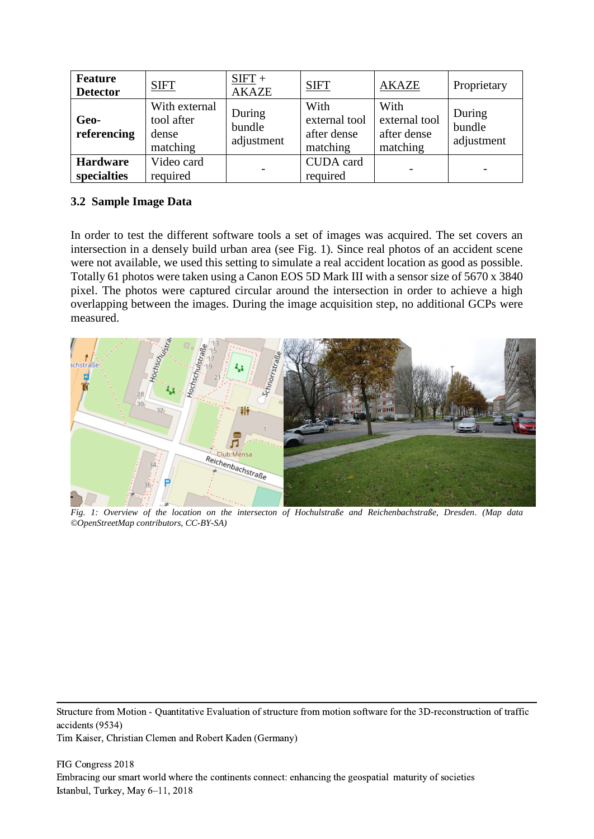| Feature<br><b>Detector</b>     | <b>SIFT</b>                                      | $SIFT +$<br><b>AKAZE</b>       | <b>SIFT</b>                                      | <b>AKAZE</b>                                     | Proprietary                    |
|--------------------------------|--------------------------------------------------|--------------------------------|--------------------------------------------------|--------------------------------------------------|--------------------------------|
| Geo-<br>referencing            | With external<br>tool after<br>dense<br>matching | During<br>bundle<br>adjustment | With<br>external tool<br>after dense<br>matching | With<br>external tool<br>after dense<br>matching | During<br>bundle<br>adjustment |
| <b>Hardware</b><br>specialties | Video card<br>required                           |                                | CUDA card<br>required                            |                                                  | $\overline{\phantom{a}}$       |

## **3.2 Sample Image Data**

In order to test the different software tools a set of images was acquired. The set covers an intersection in a densely build urban area (see [Fig. 1\)](#page-6-0). Since real photos of an accident scene were not available, we used this setting to simulate a real accident location as good as possible. Totally 61 photos were taken using a Canon EOS 5D Mark III with a sensor size of 5670 x 3840 pixel. The photos were captured circular around the intersection in order to achieve a high overlapping between the images. During the image acquisition step, no additional GCPs were measured.



<span id="page-6-0"></span>*Fig. 1: Overview of the location on the intersecton of Hochulstraße and Reichenbachstraße, Dresden. (Map data ©OpenStreetMap contributors, CC-BY-SA)*

Structure from Motion - Quantitative Evaluation of structure from motion software for the 3D-reconstruction of traffic accidents (9534)

Tim Kaiser, Christian Clemen and Robert Kaden (Germany)

FIG Congress 2018 Embracing our smart world where the continents connect: enhancing the geospatial maturity of societies Istanbul, Turkey, May 6–11, 2018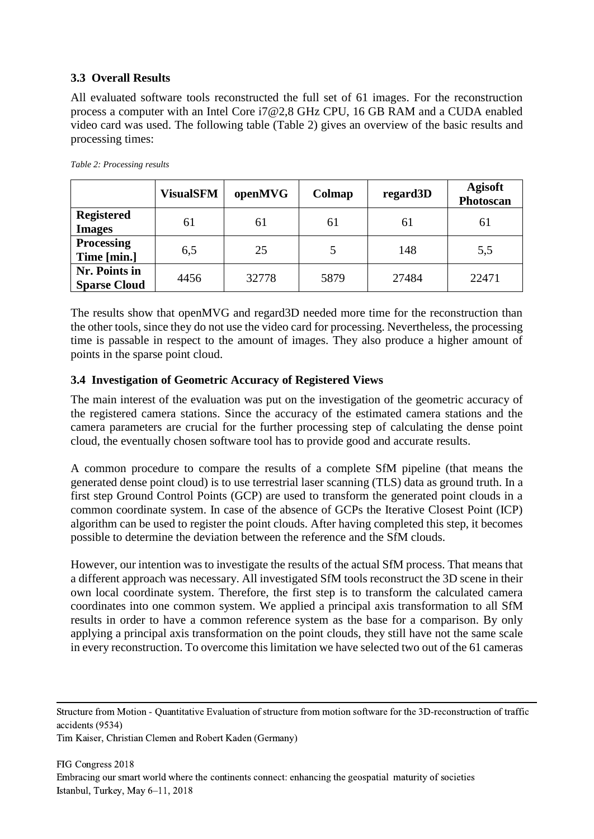## **3.3 Overall Results**

All evaluated software tools reconstructed the full set of 61 images. For the reconstruction process a computer with an Intel Core i7@2,8 GHz CPU, 16 GB RAM and a CUDA enabled video card was used. The following table [\(Table 2\)](#page-7-0) gives an overview of the basic results and processing times:

|                                      | <b>VisualSFM</b> | openMVG | Colmap | regard3D | <b>Agisoft</b><br>Photoscan |
|--------------------------------------|------------------|---------|--------|----------|-----------------------------|
| <b>Registered</b><br><b>Images</b>   | 61               | 61      | 61     | 61       | 61                          |
| <b>Processing</b><br>Time [min.]     | 6,5              | 25      |        | 148      | 5,5                         |
| Nr. Points in<br><b>Sparse Cloud</b> | 4456             | 32778   | 5879   | 27484    | 22471                       |

<span id="page-7-0"></span>*Table 2: Processing results*

The results show that openMVG and regard3D needed more time for the reconstruction than the other tools, since they do not use the video card for processing. Nevertheless, the processing time is passable in respect to the amount of images. They also produce a higher amount of points in the sparse point cloud.

### <span id="page-7-1"></span>**3.4 Investigation of Geometric Accuracy of Registered Views**

The main interest of the evaluation was put on the investigation of the geometric accuracy of the registered camera stations. Since the accuracy of the estimated camera stations and the camera parameters are crucial for the further processing step of calculating the dense point cloud, the eventually chosen software tool has to provide good and accurate results.

A common procedure to compare the results of a complete SfM pipeline (that means the generated dense point cloud) is to use terrestrial laser scanning (TLS) data as ground truth. In a first step Ground Control Points (GCP) are used to transform the generated point clouds in a common coordinate system. In case of the absence of GCPs the Iterative Closest Point (ICP) algorithm can be used to register the point clouds. After having completed this step, it becomes possible to determine the deviation between the reference and the SfM clouds.

However, our intention was to investigate the results of the actual SfM process. That means that a different approach was necessary. All investigated SfM tools reconstruct the 3D scene in their own local coordinate system. Therefore, the first step is to transform the calculated camera coordinates into one common system. We applied a principal axis transformation to all SfM results in order to have a common reference system as the base for a comparison. By only applying a principal axis transformation on the point clouds, they still have not the same scale in every reconstruction. To overcome this limitation we have selected two out of the 61 cameras

Structure from Motion - Quantitative Evaluation of structure from motion software for the 3D-reconstruction of traffic accidents (9534)

Tim Kaiser, Christian Clemen and Robert Kaden (Germany)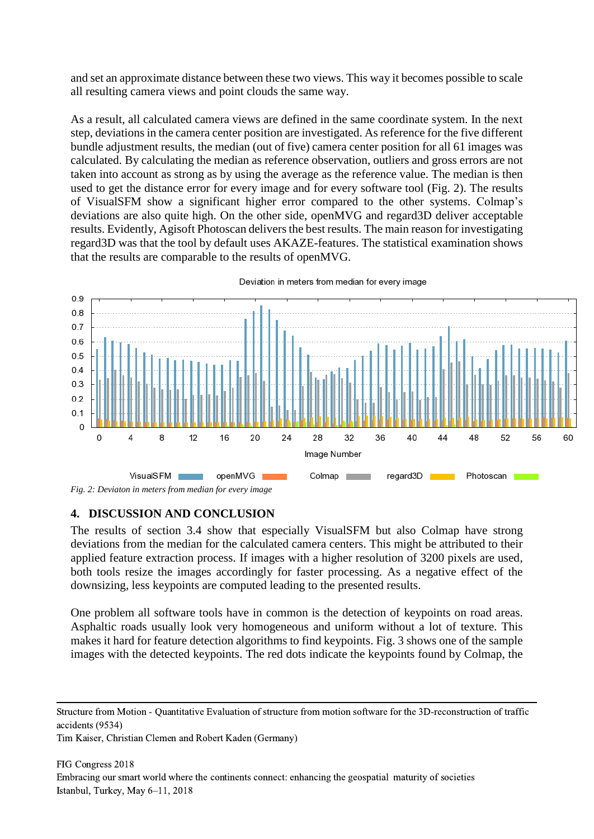and set an approximate distance between these two views. This way it becomes possible to scale all resulting camera views and point clouds the same way.

As a result, all calculated camera views are defined in the same coordinate system. In the next step, deviations in the camera center position are investigated. As reference for the five different bundle adjustment results, the median (out of five) camera center position for all 61 images was calculated. By calculating the median as reference observation, outliers and gross errors are not taken into account as strong as by using the average as the reference value. The median is then used to get the distance error for every image and for every software tool [\(Fig. 2\)](#page-8-0). The results of VisualSFM show a significant higher error compared to the other systems. Colmap's deviations are also quite high. On the other side, openMVG and regard3D deliver acceptable results. Evidently, Agisoft Photoscan delivers the best results. The main reason for investigating regard3D was that the tool by default uses AKAZE-features. The statistical examination shows that the results are comparable to the results of openMVG.



Deviation in meters from median for every image

#### <span id="page-8-0"></span>**4. DISCUSSION AND CONCLUSION**

The results of section [3.4](#page-7-1) show that especially VisualSFM but also Colmap have strong deviations from the median for the calculated camera centers. This might be attributed to their applied feature extraction process. If images with a higher resolution of 3200 pixels are used, both tools resize the images accordingly for faster processing. As a negative effect of the downsizing, less keypoints are computed leading to the presented results.

One problem all software tools have in common is the detection of keypoints on road areas. Asphaltic roads usually look very homogeneous and uniform without a lot of texture. This makes it hard for feature detection algorithms to find keypoints. [Fig. 3](#page-9-0) shows one of the sample images with the detected keypoints. The red dots indicate the keypoints found by Colmap, the

Structure from Motion - Quantitative Evaluation of structure from motion software for the 3D-reconstruction of traffic accidents (9534)

Tim Kaiser, Christian Clemen and Robert Kaden (Germany)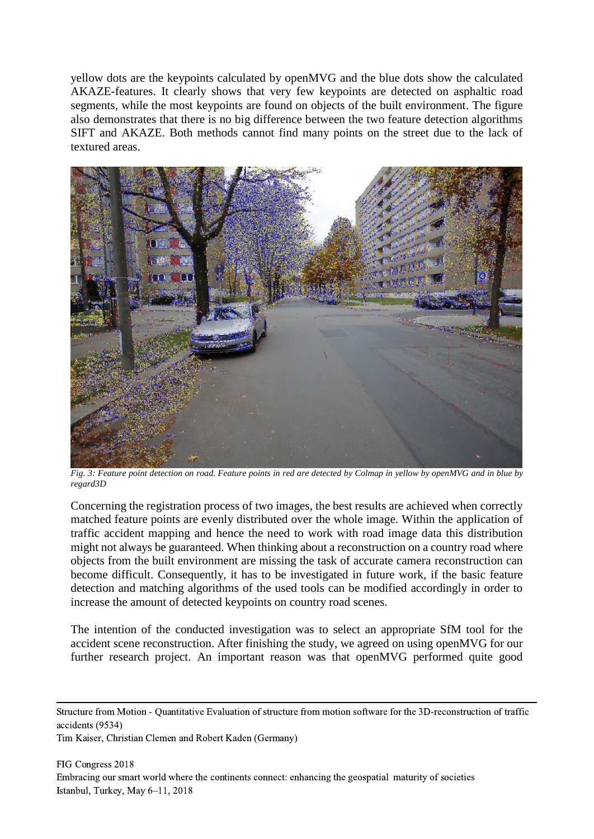yellow dots are the keypoints calculated by openMVG and the blue dots show the calculated AKAZE-features. It clearly shows that very few keypoints are detected on asphaltic road segments, while the most keypoints are found on objects of the built environment. The figure also demonstrates that there is no big difference between the two feature detection algorithms SIFT and AKAZE. Both methods cannot find many points on the street due to the lack of textured areas.



*Fig. 3: Feature point detection on road. Feature points in red are detected by Colmap in yellow by openMVG and in blue by regard3D*

<span id="page-9-0"></span>Concerning the registration process of two images, the best results are achieved when correctly matched feature points are evenly distributed over the whole image. Within the application of traffic accident mapping and hence the need to work with road image data this distribution might not always be guaranteed. When thinking about a reconstruction on a country road where objects from the built environment are missing the task of accurate camera reconstruction can become difficult. Consequently, it has to be investigated in future work, if the basic feature detection and matching algorithms of the used tools can be modified accordingly in order to increase the amount of detected keypoints on country road scenes.

The intention of the conducted investigation was to select an appropriate SfM tool for the accident scene reconstruction. After finishing the study, we agreed on using openMVG for our further research project. An important reason was that openMVG performed quite good

Structure from Motion - Quantitative Evaluation of structure from motion software for the 3D-reconstruction of traffic accidents (9534)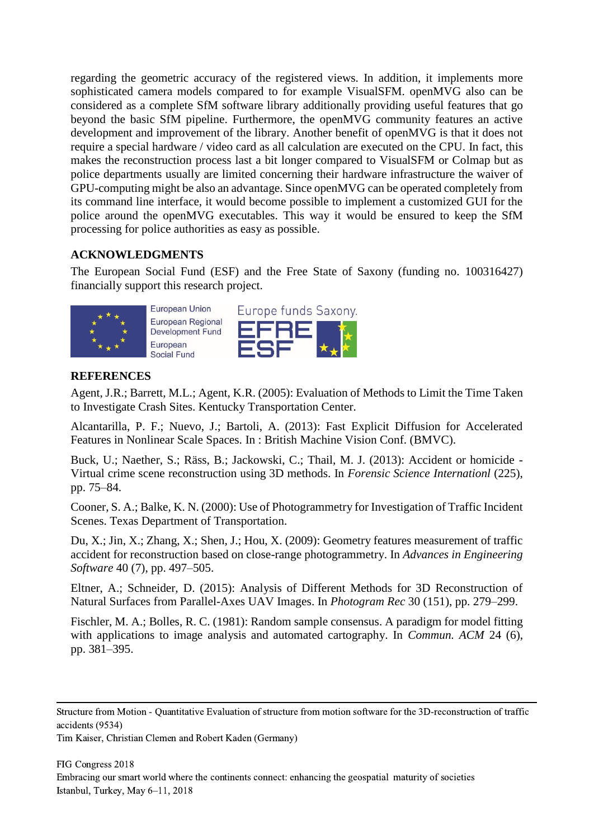regarding the geometric accuracy of the registered views. In addition, it implements more sophisticated camera models compared to for example VisualSFM. openMVG also can be considered as a complete SfM software library additionally providing useful features that go beyond the basic SfM pipeline. Furthermore, the openMVG community features an active development and improvement of the library. Another benefit of openMVG is that it does not require a special hardware / video card as all calculation are executed on the CPU. In fact, this makes the reconstruction process last a bit longer compared to VisualSFM or Colmap but as police departments usually are limited concerning their hardware infrastructure the waiver of GPU-computing might be also an advantage. Since openMVG can be operated completely from its command line interface, it would become possible to implement a customized GUI for the police around the openMVG executables. This way it would be ensured to keep the SfM processing for police authorities as easy as possible.

## **ACKNOWLEDGMENTS**

The European Social Fund (ESF) and the Free State of Saxony (funding no. 100316427) financially support this research project.





### **REFERENCES**

Agent, J.R.; Barrett, M.L.; Agent, K.R. (2005): Evaluation of Methods to Limit the Time Taken to Investigate Crash Sites. Kentucky Transportation Center.

Alcantarilla, P. F.; Nuevo, J.; Bartoli, A. (2013): Fast Explicit Diffusion for Accelerated Features in Nonlinear Scale Spaces. In : British Machine Vision Conf. (BMVC).

Buck, U.; Naether, S.; Räss, B.; Jackowski, C.; Thail, M. J. (2013): Accident or homicide - Virtual crime scene reconstruction using 3D methods. In *Forensic Science Internationl* (225), pp. 75–84.

Cooner, S. A.; Balke, K. N. (2000): Use of Photogrammetry for Investigation of Traffic Incident Scenes. Texas Department of Transportation.

Du, X.; Jin, X.; Zhang, X.; Shen, J.; Hou, X. (2009): Geometry features measurement of traffic accident for reconstruction based on close-range photogrammetry. In *Advances in Engineering Software* 40 (7), pp. 497–505.

Eltner, A.; Schneider, D. (2015): Analysis of Different Methods for 3D Reconstruction of Natural Surfaces from Parallel-Axes UAV Images. In *Photogram Rec* 30 (151), pp. 279–299.

Fischler, M. A.; Bolles, R. C. (1981): Random sample consensus. A paradigm for model fitting with applications to image analysis and automated cartography. In *Commun. ACM* 24 (6), pp. 381–395.

Structure from Motion - Quantitative Evaluation of structure from motion software for the 3D-reconstruction of traffic accidents (9534)

Tim Kaiser, Christian Clemen and Robert Kaden (Germany)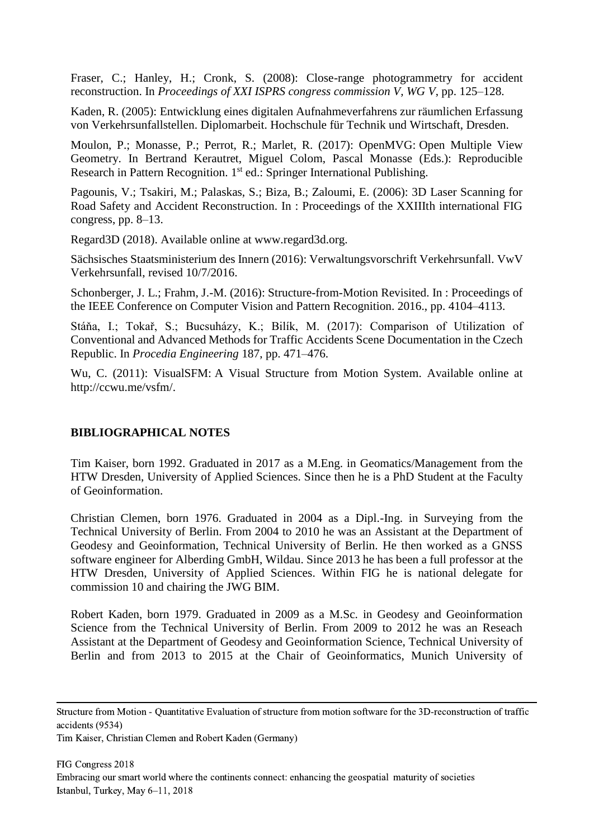Fraser, C.; Hanley, H.; Cronk, S. (2008): Close-range photogrammetry for accident reconstruction. In *Proceedings of XXI ISPRS congress commission V, WG V*, pp. 125–128.

Kaden, R. (2005): Entwicklung eines digitalen Aufnahmeverfahrens zur räumlichen Erfassung von Verkehrsunfallstellen. Diplomarbeit. Hochschule für Technik und Wirtschaft, Dresden.

Moulon, P.; Monasse, P.; Perrot, R.; Marlet, R. (2017): OpenMVG: Open Multiple View Geometry. In Bertrand Kerautret, Miguel Colom, Pascal Monasse (Eds.): Reproducible Research in Pattern Recognition. 1<sup>st</sup> ed.: Springer International Publishing.

Pagounis, V.; Tsakiri, M.; Palaskas, S.; Biza, B.; Zaloumi, E. (2006): 3D Laser Scanning for Road Safety and Accident Reconstruction. In : Proceedings of the XXIIIth international FIG congress, pp. 8–13.

Regard3D (2018). Available online at www.regard3d.org.

Sächsisches Staatsministerium des Innern (2016): Verwaltungsvorschrift Verkehrsunfall. VwV Verkehrsunfall, revised 10/7/2016.

Schonberger, J. L.; Frahm, J.-M. (2016): Structure-from-Motion Revisited. In : Proceedings of the IEEE Conference on Computer Vision and Pattern Recognition. 2016., pp. 4104–4113.

Stáňa, I.; Tokař, S.; Bucsuházy, K.; Bilík, M. (2017): Comparison of Utilization of Conventional and Advanced Methods for Traffic Accidents Scene Documentation in the Czech Republic. In *Procedia Engineering* 187, pp. 471–476.

Wu, C. (2011): VisualSFM: A Visual Structure from Motion System. Available online at http://ccwu.me/vsfm/.

#### **BIBLIOGRAPHICAL NOTES**

Tim Kaiser, born 1992. Graduated in 2017 as a M.Eng. in Geomatics/Management from the HTW Dresden, University of Applied Sciences. Since then he is a PhD Student at the Faculty of Geoinformation.

Christian Clemen, born 1976. Graduated in 2004 as a Dipl.-Ing. in Surveying from the Technical University of Berlin. From 2004 to 2010 he was an Assistant at the Department of Geodesy and Geoinformation, Technical University of Berlin. He then worked as a GNSS software engineer for Alberding GmbH, Wildau. Since 2013 he has been a full professor at the HTW Dresden, University of Applied Sciences. Within FIG he is national delegate for commission 10 and chairing the JWG BIM.

Robert Kaden, born 1979. Graduated in 2009 as a M.Sc. in Geodesy and Geoinformation Science from the Technical University of Berlin. From 2009 to 2012 he was an Reseach Assistant at the Department of Geodesy and Geoinformation Science, Technical University of Berlin and from 2013 to 2015 at the Chair of Geoinformatics, Munich University of

Structure from Motion - Quantitative Evaluation of structure from motion software for the 3D-reconstruction of traffic accidents (9534)

Tim Kaiser, Christian Clemen and Robert Kaden (Germany)